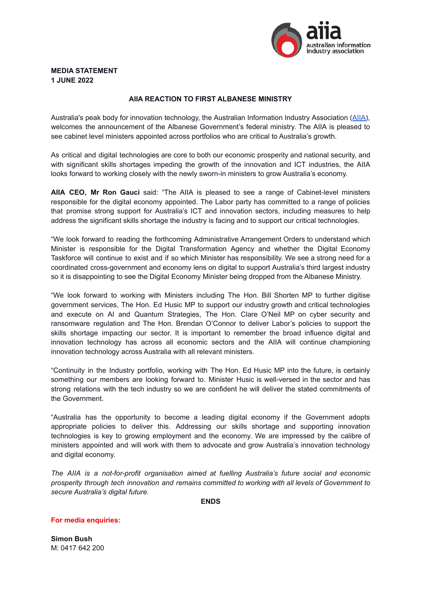

# **MEDIA STATEMENT 1 JUNE 2022**

## **AIIA REACTION TO FIRST ALBANESE MINISTRY**

Australia's peak body for innovation technology, the Australian Information Industry Association ([AIIA\)](https://www.aiia.com.au/), welcomes the announcement of the Albanese Government's federal ministry. The AIIA is pleased to see cabinet level ministers appointed across portfolios who are critical to Australia's growth.

As critical and digital technologies are core to both our economic prosperity and national security, and with significant skills shortages impeding the growth of the innovation and ICT industries, the AIIA looks forward to working closely with the newly sworn-in ministers to grow Australia's economy.

**AIIA CEO, Mr Ron Gauci** said: "The AIIA is pleased to see a range of Cabinet-level ministers responsible for the digital economy appointed. The Labor party has committed to a range of policies that promise strong support for Australia's ICT and innovation sectors, including measures to help address the significant skills shortage the industry is facing and to support our critical technologies.

"We look forward to reading the forthcoming Administrative Arrangement Orders to understand which Minister is responsible for the Digital Transformation Agency and whether the Digital Economy Taskforce will continue to exist and if so which Minister has responsibility. We see a strong need for a coordinated cross-government and economy lens on digital to support Australia's third largest industry so it is disappointing to see the Digital Economy Minister being dropped from the Albanese Ministry.

"We look forward to working with Ministers including The Hon. Bill Shorten MP to further digitise government services, The Hon. Ed Husic MP to support our industry growth and critical technologies and execute on AI and Quantum Strategies, The Hon. Clare O'Neil MP on cyber security and ransomware regulation and The Hon. Brendan O'Connor to deliver Labor's policies to support the skills shortage impacting our sector. It is important to remember the broad influence digital and innovation technology has across all economic sectors and the AIIA will continue championing innovation technology across Australia with all relevant ministers.

"Continuity in the Industry portfolio, working with The Hon. Ed Husic MP into the future, is certainly something our members are looking forward to. Minister Husic is well-versed in the sector and has strong relations with the tech industry so we are confident he will deliver the stated commitments of the Government.

"Australia has the opportunity to become a leading digital economy if the Government adopts appropriate policies to deliver this. Addressing our skills shortage and supporting innovation technologies is key to growing employment and the economy. We are impressed by the calibre of ministers appointed and will work with them to advocate and grow Australia's innovation technology and digital economy.

*The AIIA is a not-for-profit organisation aimed at fuelling Australia's future social and economic prosperity through tech innovation and remains committed to working with all levels of Government to secure Australia's digital future.*

**ENDS**

#### **For media enquiries:**

**Simon Bush** M: 0417 642 200